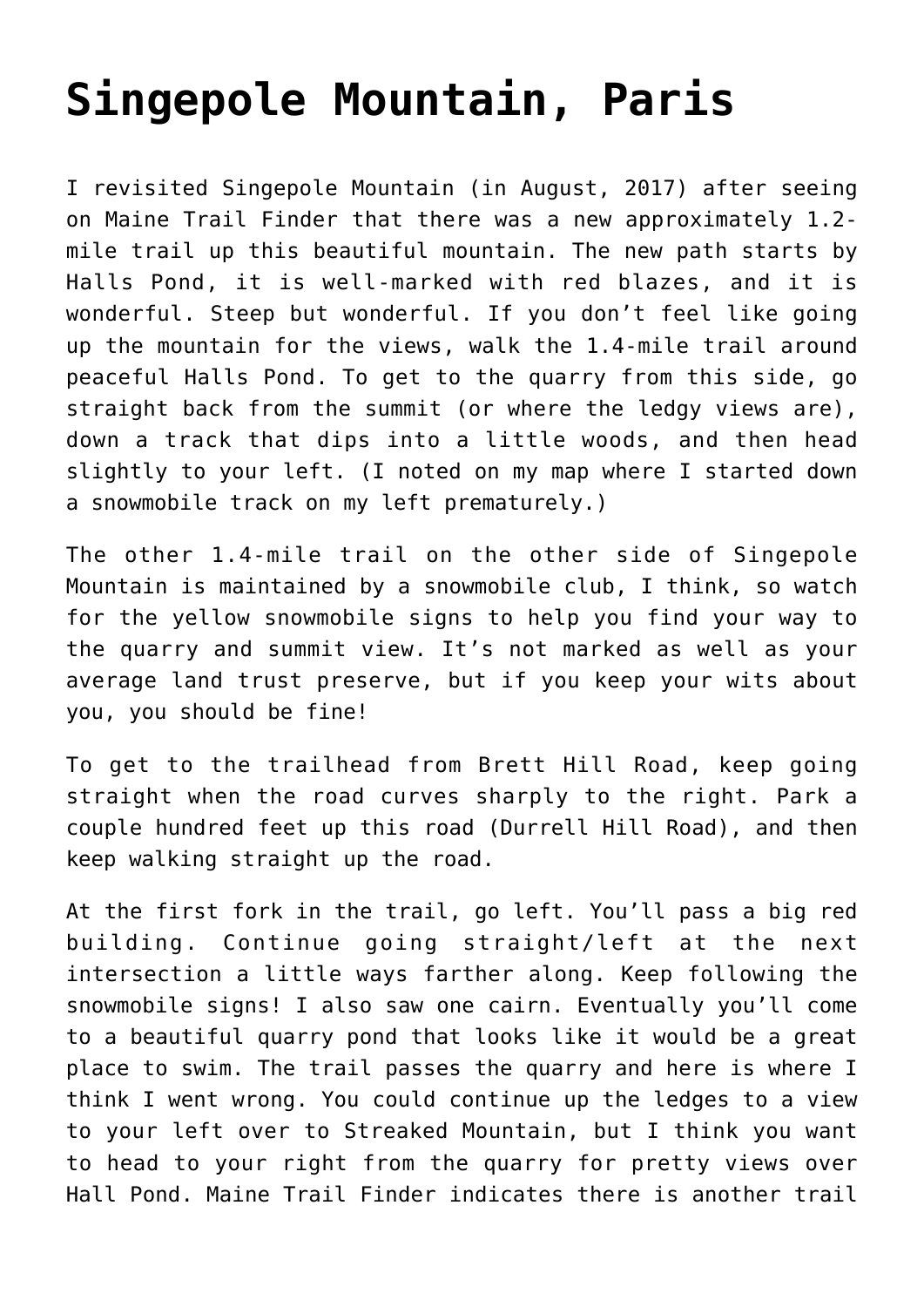## **[Singepole Mountain, Paris](https://mainebyfoot.com/singepole-mountain-paris/)**

I revisited Singepole Mountain (in August, 2017) after seeing on Maine Trail Finder that there was a new approximately 1.2 mile trail up this beautiful mountain. The new path starts by Halls Pond, it is well-marked with red blazes, and it is wonderful. Steep but wonderful. If you don't feel like going up the mountain for the views, walk the 1.4-mile trail around peaceful Halls Pond. To get to the quarry from this side, go straight back from the summit (or where the ledgy views are), down a track that dips into a little woods, and then head slightly to your left. (I noted on my map where I started down a snowmobile track on my left prematurely.)

The other 1.4-mile trail on the other side of Singepole Mountain is maintained by a snowmobile club, I think, so watch for the yellow snowmobile signs to help you find your way to the quarry and summit view. It's not marked as well as your average land trust preserve, but if you keep your wits about you, you should be fine!

To get to the trailhead from Brett Hill Road, keep going straight when the road curves sharply to the right. Park a couple hundred feet up this road (Durrell Hill Road), and then keep walking straight up the road.

At the first fork in the trail, go left. You'll pass a big red building. Continue going straight/left at the next intersection a little ways farther along. Keep following the snowmobile signs! I also saw one cairn. Eventually you'll come to a beautiful quarry pond that looks like it would be a great place to swim. The trail passes the quarry and here is where I think I went wrong. You could continue up the ledges to a view to your left over to Streaked Mountain, but I think you want to head to your right from the quarry for pretty views over Hall Pond. [Maine Trail Finder](http://www.mainetrailfinder.com/trails/trail/singepole-trail) indicates there is another trail